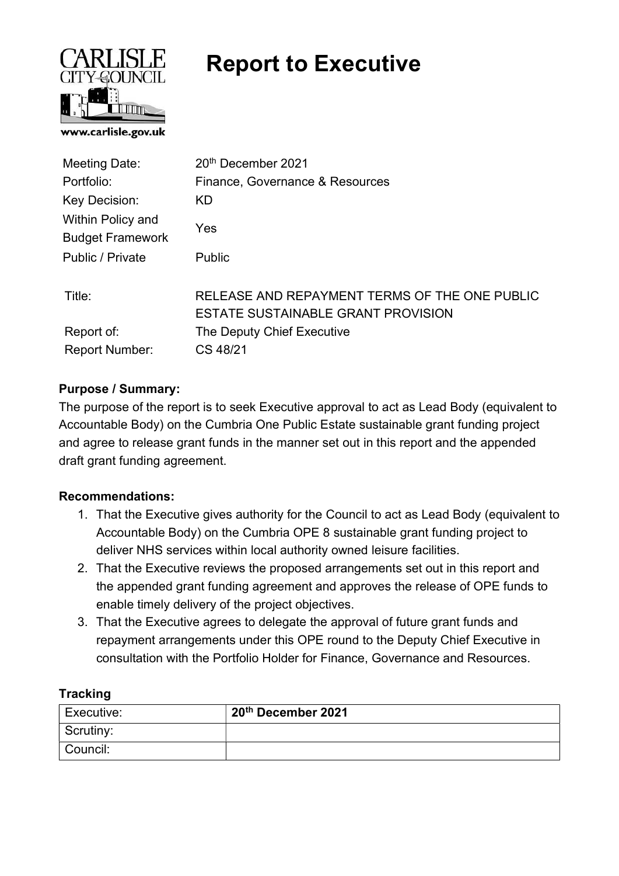

# Report to Executive

| 20th December 2021                                                                  |
|-------------------------------------------------------------------------------------|
| Finance, Governance & Resources                                                     |
| <b>KD</b>                                                                           |
| Yes                                                                                 |
| <b>Public</b>                                                                       |
| RELEASE AND REPAYMENT TERMS OF THE ONE PUBLIC<br>ESTATE SUSTAINABLE GRANT PROVISION |
| The Deputy Chief Executive                                                          |
| CS 48/21                                                                            |
|                                                                                     |

# Purpose / Summary:

The purpose of the report is to seek Executive approval to act as Lead Body (equivalent to Accountable Body) on the Cumbria One Public Estate sustainable grant funding project and agree to release grant funds in the manner set out in this report and the appended draft grant funding agreement.

# Recommendations:

- 1. That the Executive gives authority for the Council to act as Lead Body (equivalent to Accountable Body) on the Cumbria OPE 8 sustainable grant funding project to deliver NHS services within local authority owned leisure facilities.
- 2. That the Executive reviews the proposed arrangements set out in this report and the appended grant funding agreement and approves the release of OPE funds to enable timely delivery of the project objectives.
- 3. That the Executive agrees to delegate the approval of future grant funds and repayment arrangements under this OPE round to the Deputy Chief Executive in consultation with the Portfolio Holder for Finance, Governance and Resources.

# **Tracking**

| Executive: | 20 <sup>th</sup> December 2021 |
|------------|--------------------------------|
| Scrutiny:  |                                |
| Council:   |                                |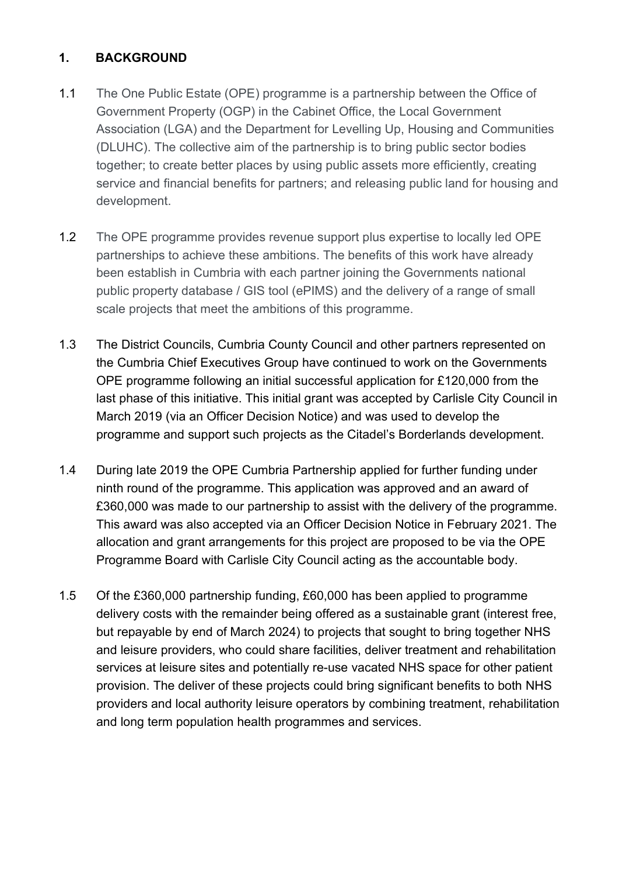# 1. BACKGROUND

- 1.1 The One Public Estate (OPE) programme is a partnership between the Office of Government Property (OGP) in the Cabinet Office, the Local Government Association (LGA) and the Department for Levelling Up, Housing and Communities (DLUHC). The collective aim of the partnership is to bring public sector bodies together; to create better places by using public assets more efficiently, creating service and financial benefits for partners; and releasing public land for housing and development.
- 1.2 The OPE programme provides revenue support plus expertise to locally led OPE partnerships to achieve these ambitions. The benefits of this work have already been establish in Cumbria with each partner joining the Governments national public property database / GIS tool (ePIMS) and the delivery of a range of small scale projects that meet the ambitions of this programme.
- 1.3 The District Councils, Cumbria County Council and other partners represented on the Cumbria Chief Executives Group have continued to work on the Governments OPE programme following an initial successful application for £120,000 from the last phase of this initiative. This initial grant was accepted by Carlisle City Council in March 2019 (via an Officer Decision Notice) and was used to develop the programme and support such projects as the Citadel's Borderlands development.
- 1.4 During late 2019 the OPE Cumbria Partnership applied for further funding under ninth round of the programme. This application was approved and an award of £360,000 was made to our partnership to assist with the delivery of the programme. This award was also accepted via an Officer Decision Notice in February 2021. The allocation and grant arrangements for this project are proposed to be via the OPE Programme Board with Carlisle City Council acting as the accountable body.
- 1.5 Of the £360,000 partnership funding, £60,000 has been applied to programme delivery costs with the remainder being offered as a sustainable grant (interest free, but repayable by end of March 2024) to projects that sought to bring together NHS and leisure providers, who could share facilities, deliver treatment and rehabilitation services at leisure sites and potentially re-use vacated NHS space for other patient provision. The deliver of these projects could bring significant benefits to both NHS providers and local authority leisure operators by combining treatment, rehabilitation and long term population health programmes and services.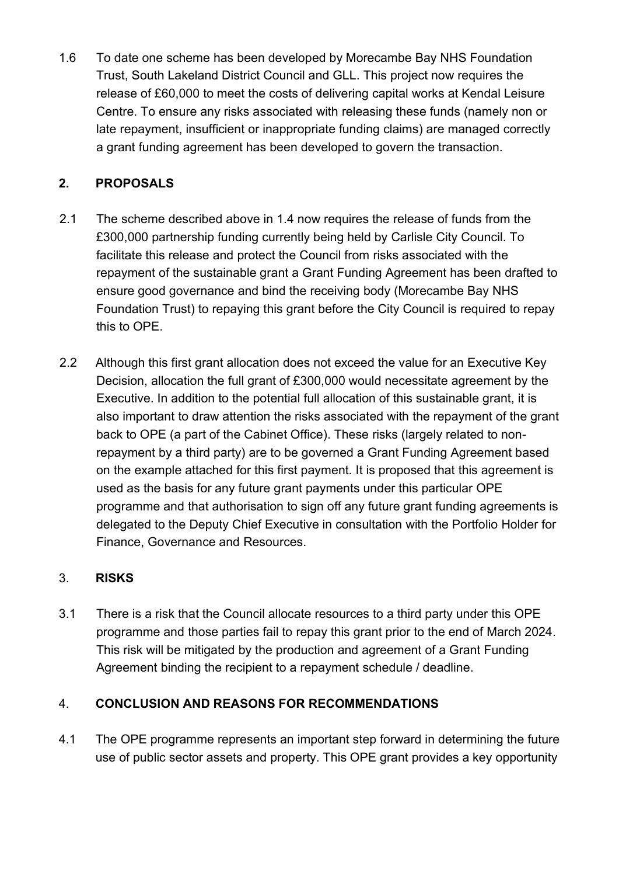1.6 To date one scheme has been developed by Morecambe Bay NHS Foundation Trust, South Lakeland District Council and GLL. This project now requires the release of £60,000 to meet the costs of delivering capital works at Kendal Leisure Centre. To ensure any risks associated with releasing these funds (namely non or late repayment, insufficient or inappropriate funding claims) are managed correctly a grant funding agreement has been developed to govern the transaction.

# 2. PROPOSALS

- 2.1 The scheme described above in 1.4 now requires the release of funds from the £300,000 partnership funding currently being held by Carlisle City Council. To facilitate this release and protect the Council from risks associated with the repayment of the sustainable grant a Grant Funding Agreement has been drafted to ensure good governance and bind the receiving body (Morecambe Bay NHS Foundation Trust) to repaying this grant before the City Council is required to repay this to OPE.
- 2.2 Although this first grant allocation does not exceed the value for an Executive Key Decision, allocation the full grant of £300,000 would necessitate agreement by the Executive. In addition to the potential full allocation of this sustainable grant, it is also important to draw attention the risks associated with the repayment of the grant back to OPE (a part of the Cabinet Office). These risks (largely related to nonrepayment by a third party) are to be governed a Grant Funding Agreement based on the example attached for this first payment. It is proposed that this agreement is used as the basis for any future grant payments under this particular OPE programme and that authorisation to sign off any future grant funding agreements is delegated to the Deputy Chief Executive in consultation with the Portfolio Holder for Finance, Governance and Resources.

# 3. RISKS

3.1 There is a risk that the Council allocate resources to a third party under this OPE programme and those parties fail to repay this grant prior to the end of March 2024. This risk will be mitigated by the production and agreement of a Grant Funding Agreement binding the recipient to a repayment schedule / deadline.

# 4. CONCLUSION AND REASONS FOR RECOMMENDATIONS

4.1 The OPE programme represents an important step forward in determining the future use of public sector assets and property. This OPE grant provides a key opportunity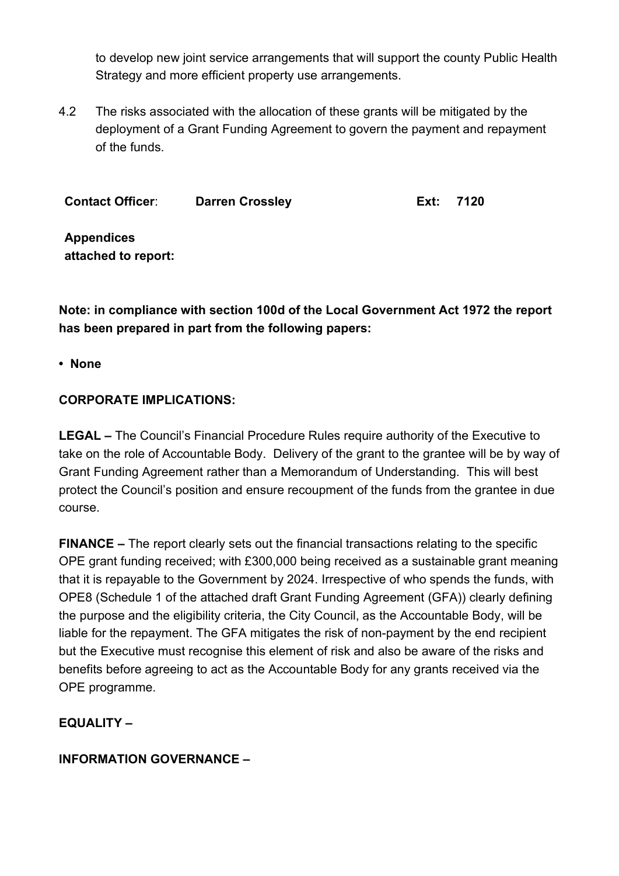to develop new joint service arrangements that will support the county Public Health Strategy and more efficient property use arrangements.

4.2 The risks associated with the allocation of these grants will be mitigated by the deployment of a Grant Funding Agreement to govern the payment and repayment of the funds.

Contact Officer: Darren Crossley Ext: 7120

Appendices attached to report:

Note: in compliance with section 100d of the Local Government Act 1972 the report has been prepared in part from the following papers:

• None

# CORPORATE IMPLICATIONS:

LEGAL – The Council's Financial Procedure Rules require authority of the Executive to take on the role of Accountable Body. Delivery of the grant to the grantee will be by way of Grant Funding Agreement rather than a Memorandum of Understanding. This will best protect the Council's position and ensure recoupment of the funds from the grantee in due course.

FINANCE – The report clearly sets out the financial transactions relating to the specific OPE grant funding received; with £300,000 being received as a sustainable grant meaning that it is repayable to the Government by 2024. Irrespective of who spends the funds, with OPE8 (Schedule 1 of the attached draft Grant Funding Agreement (GFA)) clearly defining the purpose and the eligibility criteria, the City Council, as the Accountable Body, will be liable for the repayment. The GFA mitigates the risk of non-payment by the end recipient but the Executive must recognise this element of risk and also be aware of the risks and benefits before agreeing to act as the Accountable Body for any grants received via the OPE programme.

# EQUALITY –

# INFORMATION GOVERNANCE –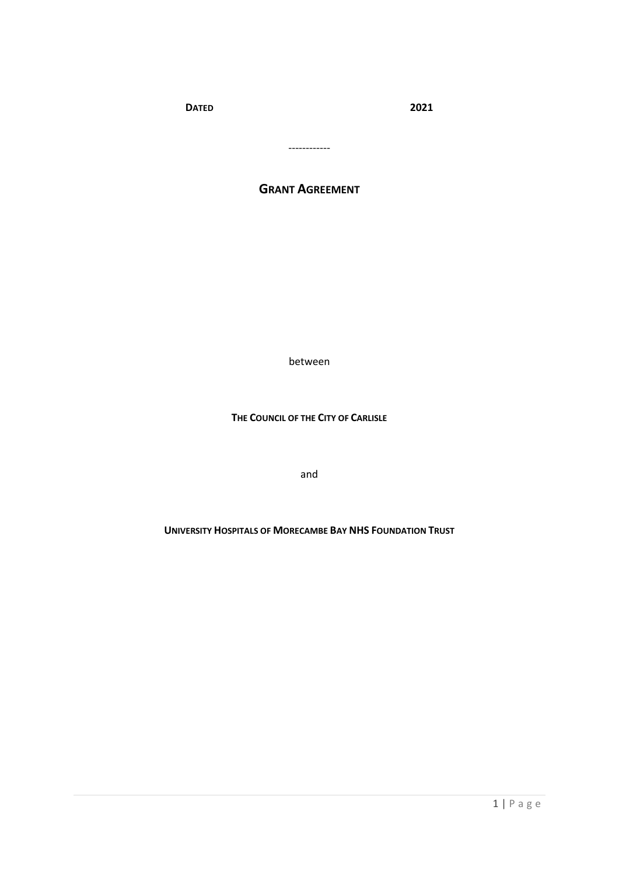**DATED 2021**

------------

# **GRANT AGREEMENT**

between

**THE COUNCIL OF THE CITY OF CARLISLE**

and

**UNIVERSITY HOSPITALS OF MORECAMBE BAY NHS FOUNDATION TRUST**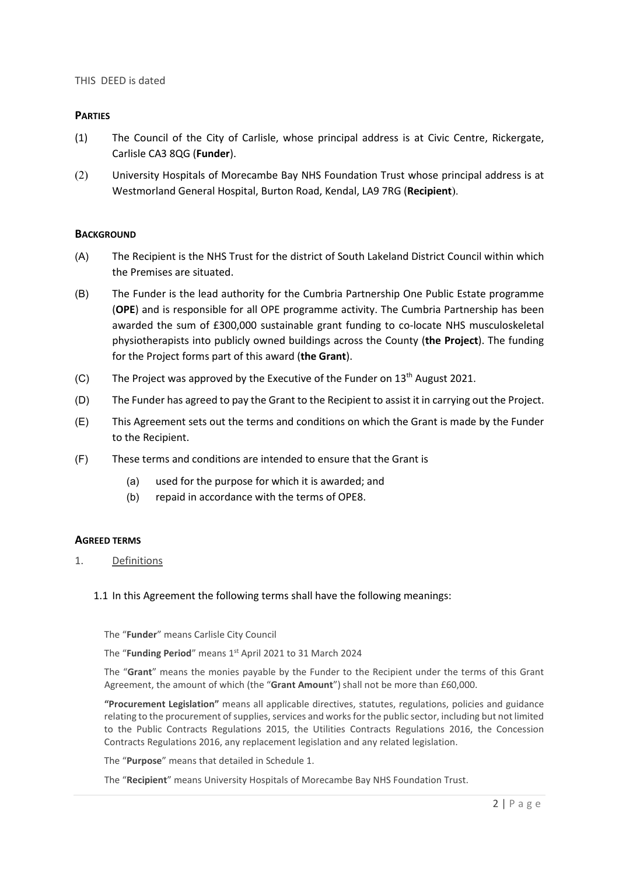## **PARTIES**

- (1) The Council of the City of Carlisle, whose principal address is at Civic Centre, Rickergate, Carlisle CA3 8QG (**Funder**).
- (2) University Hospitals of Morecambe Bay NHS Foundation Trust whose principal address is at Westmorland General Hospital, Burton Road, Kendal, LA9 7RG (**Recipient**).

### **BACKGROUND**

- (A) The Recipient is the NHS Trust for the district of South Lakeland District Council within which the Premises are situated.
- (B) The Funder is the lead authority for the Cumbria Partnership One Public Estate programme (**OPE**) and is responsible for all OPE programme activity. The Cumbria Partnership has been awarded the sum of £300,000 sustainable grant funding to co-locate NHS musculoskeletal physiotherapists into publicly owned buildings across the County (**the Project**). The funding for the Project forms part of this award (**the Grant**).
- (C) The Project was approved by the Executive of the Funder on  $13<sup>th</sup>$  August 2021.
- (D) The Funder has agreed to pay the Grant to the Recipient to assist it in carrying out the Project.
- (E) This Agreement sets out the terms and conditions on which the Grant is made by the Funder to the Recipient.
- (F) These terms and conditions are intended to ensure that the Grant is
	- (a) used for the purpose for which it is awarded; and
	- (b) repaid in accordance with the terms of OPE8.

### **AGREED TERMS**

1. Definitions

### 1.1 In this Agreement the following terms shall have the following meanings:

The "**Funder**" means Carlisle City Council

The "Funding Period" means 1<sup>st</sup> April 2021 to 31 March 2024

The "**Grant**" means the monies payable by the Funder to the Recipient under the terms of this Grant Agreement, the amount of which (the "**Grant Amount**") shall not be more than £60,000.

**"Procurement Legislation"** means all applicable directives, statutes, regulations, policies and guidance relating to the procurement of supplies, services and works for the public sector, including but not limited to the Public Contracts Regulations 2015, the Utilities Contracts Regulations 2016, the Concession Contracts Regulations 2016, any replacement legislation and any related legislation.

The "**Purpose**" means that detailed in Schedule 1.

The "**Recipient**" means University Hospitals of Morecambe Bay NHS Foundation Trust.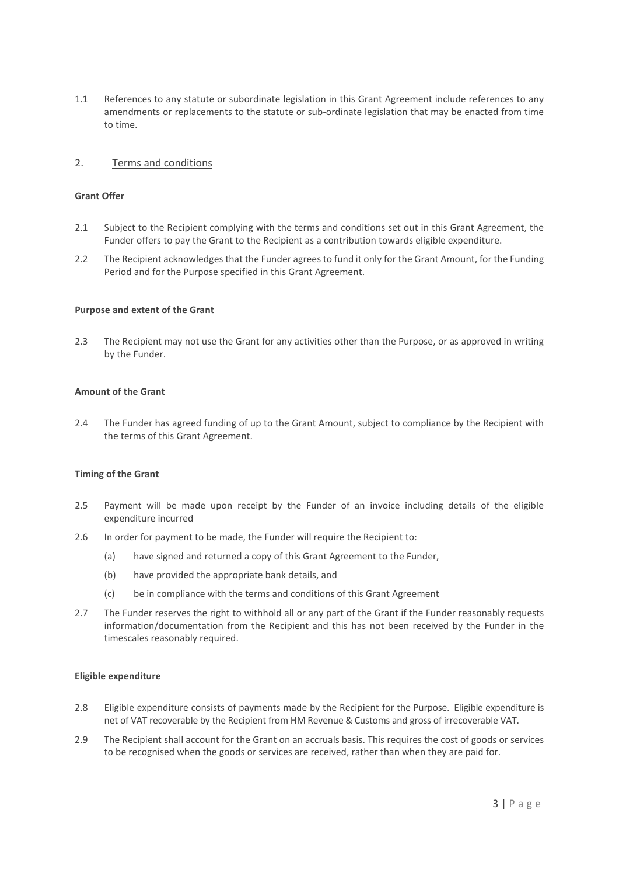1.1 References to any statute or subordinate legislation in this Grant Agreement include references to any amendments or replacements to the statute or sub-ordinate legislation that may be enacted from time to time.

### 2. Terms and conditions

#### **Grant Offer**

- 2.1 Subject to the Recipient complying with the terms and conditions set out in this Grant Agreement, the Funder offers to pay the Grant to the Recipient as a contribution towards eligible expenditure.
- 2.2 The Recipient acknowledges that the Funder agrees to fund it only for the Grant Amount, for the Funding Period and for the Purpose specified in this Grant Agreement.

#### **Purpose and extent of the Grant**

2.3 The Recipient may not use the Grant for any activities other than the Purpose, or as approved in writing by the Funder.

#### **Amount of the Grant**

2.4 The Funder has agreed funding of up to the Grant Amount, subject to compliance by the Recipient with the terms of this Grant Agreement.

#### **Timing of the Grant**

- 2.5 Payment will be made upon receipt by the Funder of an invoice including details of the eligible expenditure incurred
- 2.6 In order for payment to be made, the Funder will require the Recipient to:
	- (a) have signed and returned a copy of this Grant Agreement to the Funder,
	- (b) have provided the appropriate bank details, and
	- (c) be in compliance with the terms and conditions of this Grant Agreement
- 2.7 The Funder reserves the right to withhold all or any part of the Grant if the Funder reasonably requests information/documentation from the Recipient and this has not been received by the Funder in the timescales reasonably required.

#### **Eligible expenditure**

- 2.8 Eligible expenditure consists of payments made by the Recipient for the Purpose. Eligible expenditure is net of VAT recoverable by the Recipient from HM Revenue & Customs and gross of irrecoverable VAT.
- 2.9 The Recipient shall account for the Grant on an accruals basis. This requires the cost of goods or services to be recognised when the goods or services are received, rather than when they are paid for.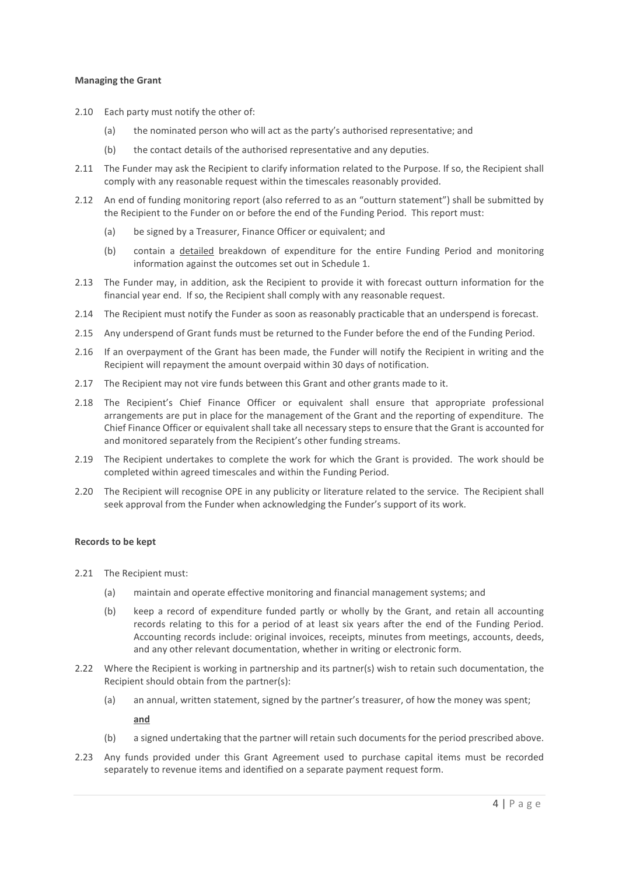#### **Managing the Grant**

- 2.10 Each party must notify the other of:
	- (a) the nominated person who will act as the party's authorised representative; and
	- (b) the contact details of the authorised representative and any deputies.
- 2.11 The Funder may ask the Recipient to clarify information related to the Purpose. If so, the Recipient shall comply with any reasonable request within the timescales reasonably provided.
- 2.12 An end of funding monitoring report (also referred to as an "outturn statement") shall be submitted by the Recipient to the Funder on or before the end of the Funding Period. This report must:
	- (a) be signed by a Treasurer, Finance Officer or equivalent; and
	- (b) contain a detailed breakdown of expenditure for the entire Funding Period and monitoring information against the outcomes set out in Schedule 1.
- 2.13 The Funder may, in addition, ask the Recipient to provide it with forecast outturn information for the financial year end. If so, the Recipient shall comply with any reasonable request.
- 2.14 The Recipient must notify the Funder as soon as reasonably practicable that an underspend is forecast.
- 2.15 Any underspend of Grant funds must be returned to the Funder before the end of the Funding Period.
- 2.16 If an overpayment of the Grant has been made, the Funder will notify the Recipient in writing and the Recipient will repayment the amount overpaid within 30 days of notification.
- 2.17 The Recipient may not vire funds between this Grant and other grants made to it.
- 2.18 The Recipient's Chief Finance Officer or equivalent shall ensure that appropriate professional arrangements are put in place for the management of the Grant and the reporting of expenditure. The Chief Finance Officer or equivalent shall take all necessary steps to ensure that the Grant is accounted for and monitored separately from the Recipient's other funding streams.
- 2.19 The Recipient undertakes to complete the work for which the Grant is provided. The work should be completed within agreed timescales and within the Funding Period.
- 2.20 The Recipient will recognise OPE in any publicity or literature related to the service. The Recipient shall seek approval from the Funder when acknowledging the Funder's support of its work.

#### **Records to be kept**

- 2.21 The Recipient must:
	- (a) maintain and operate effective monitoring and financial management systems; and
	- (b) keep a record of expenditure funded partly or wholly by the Grant, and retain all accounting records relating to this for a period of at least six years after the end of the Funding Period. Accounting records include: original invoices, receipts, minutes from meetings, accounts, deeds, and any other relevant documentation, whether in writing or electronic form.
- 2.22 Where the Recipient is working in partnership and its partner(s) wish to retain such documentation, the Recipient should obtain from the partner(s):
	- (a) an annual, written statement, signed by the partner's treasurer, of how the money was spent;

**and**

- (b) a signed undertaking that the partner will retain such documents for the period prescribed above.
- 2.23 Any funds provided under this Grant Agreement used to purchase capital items must be recorded separately to revenue items and identified on a separate payment request form.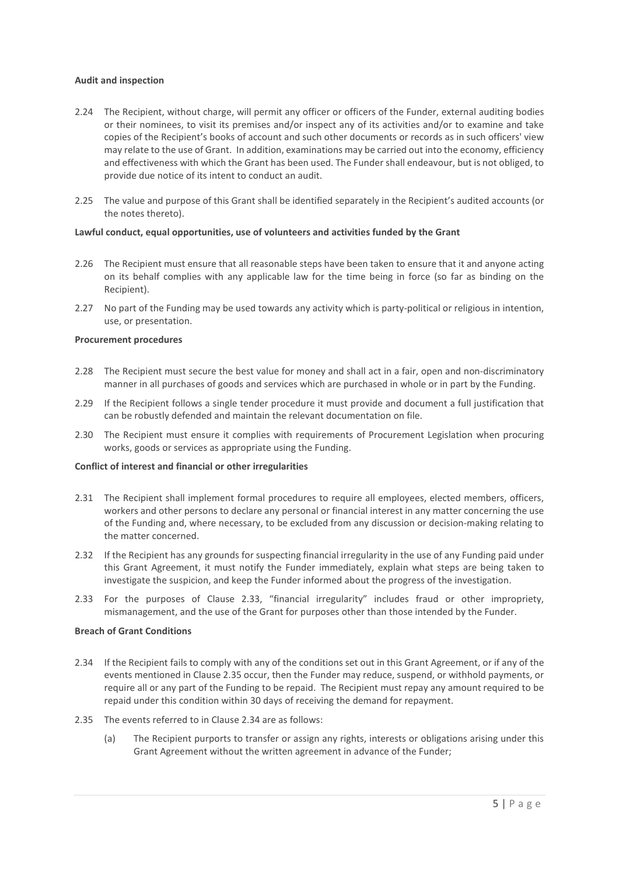#### **Audit and inspection**

- 2.24 The Recipient, without charge, will permit any officer or officers of the Funder, external auditing bodies or their nominees, to visit its premises and/or inspect any of its activities and/or to examine and take copies of the Recipient's books of account and such other documents or records as in such officers' view may relate to the use of Grant. In addition, examinations may be carried out into the economy, efficiency and effectiveness with which the Grant has been used. The Funder shall endeavour, but is not obliged, to provide due notice of its intent to conduct an audit.
- 2.25 The value and purpose of this Grant shall be identified separately in the Recipient's audited accounts (or the notes thereto).

#### **Lawful conduct, equal opportunities, use of volunteers and activities funded by the Grant**

- 2.26 The Recipient must ensure that all reasonable steps have been taken to ensure that it and anyone acting on its behalf complies with any applicable law for the time being in force (so far as binding on the Recipient).
- 2.27 No part of the Funding may be used towards any activity which is party-political or religious in intention, use, or presentation.

#### **Procurement procedures**

- 2.28 The Recipient must secure the best value for money and shall act in a fair, open and non-discriminatory manner in all purchases of goods and services which are purchased in whole or in part by the Funding.
- 2.29 If the Recipient follows a single tender procedure it must provide and document a full justification that can be robustly defended and maintain the relevant documentation on file.
- 2.30 The Recipient must ensure it complies with requirements of Procurement Legislation when procuring works, goods or services as appropriate using the Funding.

#### **Conflict of interest and financial or other irregularities**

- 2.31 The Recipient shall implement formal procedures to require all employees, elected members, officers, workers and other persons to declare any personal or financial interest in any matter concerning the use of the Funding and, where necessary, to be excluded from any discussion or decision-making relating to the matter concerned.
- 2.32 If the Recipient has any grounds for suspecting financial irregularity in the use of any Funding paid under this Grant Agreement, it must notify the Funder immediately, explain what steps are being taken to investigate the suspicion, and keep the Funder informed about the progress of the investigation.
- 2.33 For the purposes of Clause 2.33, "financial irregularity" includes fraud or other impropriety, mismanagement, and the use of the Grant for purposes other than those intended by the Funder.

### **Breach of Grant Conditions**

- 2.34 If the Recipient fails to comply with any of the conditions set out in this Grant Agreement, or if any of the events mentioned in Clause 2.35 occur, then the Funder may reduce, suspend, or withhold payments, or require all or any part of the Funding to be repaid. The Recipient must repay any amount required to be repaid under this condition within 30 days of receiving the demand for repayment.
- 2.35 The events referred to in Clause 2.34 are as follows:
	- (a) The Recipient purports to transfer or assign any rights, interests or obligations arising under this Grant Agreement without the written agreement in advance of the Funder;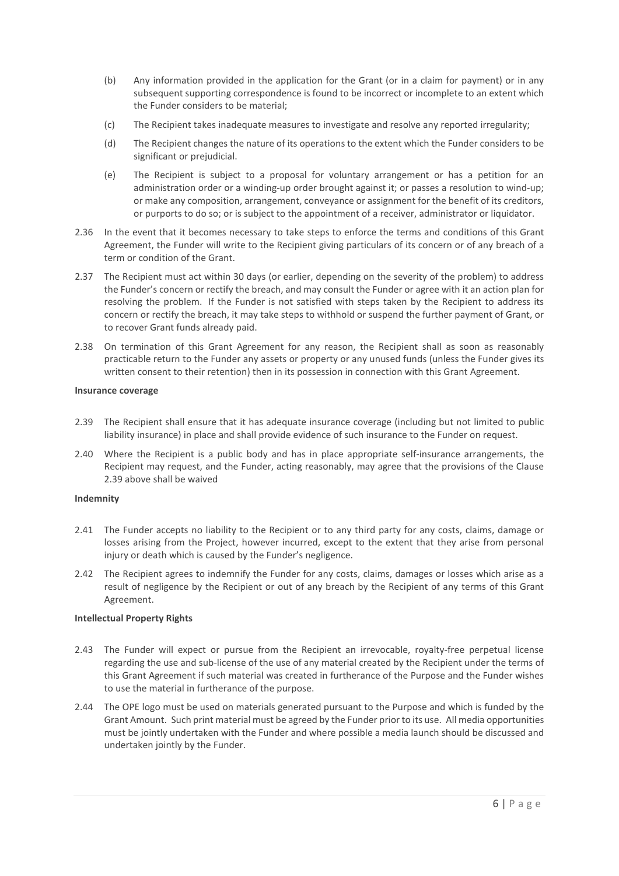- (b) Any information provided in the application for the Grant (or in a claim for payment) or in any subsequent supporting correspondence is found to be incorrect or incomplete to an extent which the Funder considers to be material;
- (c) The Recipient takes inadequate measures to investigate and resolve any reported irregularity;
- (d) The Recipient changes the nature of its operations to the extent which the Funder considers to be significant or prejudicial.
- (e) The Recipient is subject to a proposal for voluntary arrangement or has a petition for an administration order or a winding-up order brought against it; or passes a resolution to wind-up; or make any composition, arrangement, conveyance or assignment for the benefit of its creditors, or purports to do so; or is subject to the appointment of a receiver, administrator or liquidator.
- 2.36 In the event that it becomes necessary to take steps to enforce the terms and conditions of this Grant Agreement, the Funder will write to the Recipient giving particulars of its concern or of any breach of a term or condition of the Grant.
- 2.37 The Recipient must act within 30 days (or earlier, depending on the severity of the problem) to address the Funder's concern or rectify the breach, and may consult the Funder or agree with it an action plan for resolving the problem. If the Funder is not satisfied with steps taken by the Recipient to address its concern or rectify the breach, it may take steps to withhold or suspend the further payment of Grant, or to recover Grant funds already paid.
- 2.38 On termination of this Grant Agreement for any reason, the Recipient shall as soon as reasonably practicable return to the Funder any assets or property or any unused funds (unless the Funder gives its written consent to their retention) then in its possession in connection with this Grant Agreement.

#### **Insurance coverage**

- 2.39 The Recipient shall ensure that it has adequate insurance coverage (including but not limited to public liability insurance) in place and shall provide evidence of such insurance to the Funder on request.
- 2.40 Where the Recipient is a public body and has in place appropriate self-insurance arrangements, the Recipient may request, and the Funder, acting reasonably, may agree that the provisions of the Clause 2.39 above shall be waived

#### **Indemnity**

- 2.41 The Funder accepts no liability to the Recipient or to any third party for any costs, claims, damage or losses arising from the Project, however incurred, except to the extent that they arise from personal injury or death which is caused by the Funder's negligence.
- 2.42 The Recipient agrees to indemnify the Funder for any costs, claims, damages or losses which arise as a result of negligence by the Recipient or out of any breach by the Recipient of any terms of this Grant Agreement.

#### **Intellectual Property Rights**

- 2.43 The Funder will expect or pursue from the Recipient an irrevocable, royalty-free perpetual license regarding the use and sub-license of the use of any material created by the Recipient under the terms of this Grant Agreement if such material was created in furtherance of the Purpose and the Funder wishes to use the material in furtherance of the purpose.
- 2.44 The OPE logo must be used on materials generated pursuant to the Purpose and which is funded by the Grant Amount. Such print material must be agreed by the Funder prior to its use. All media opportunities must be jointly undertaken with the Funder and where possible a media launch should be discussed and undertaken jointly by the Funder.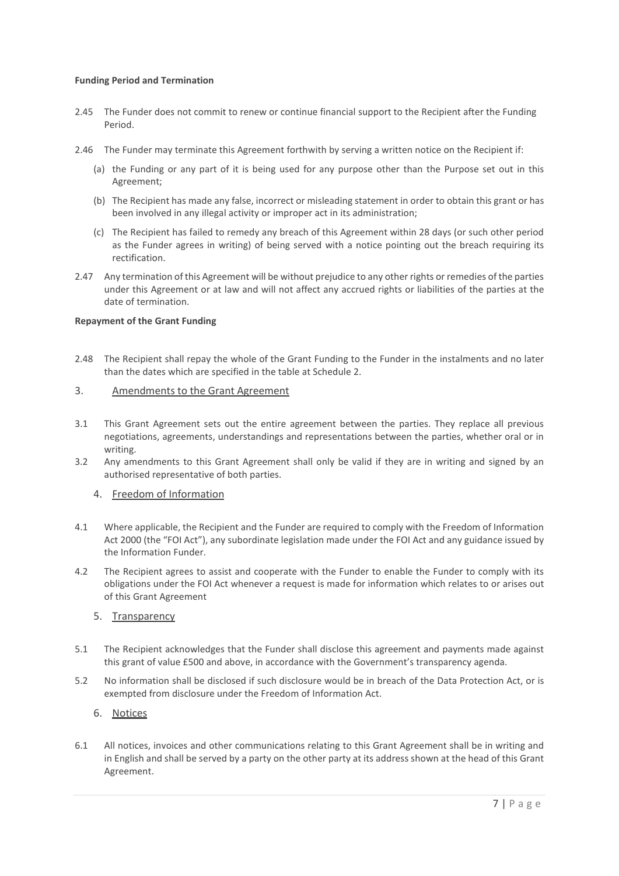#### **Funding Period and Termination**

- 2.45 The Funder does not commit to renew or continue financial support to the Recipient after the Funding Period.
- 2.46 The Funder may terminate this Agreement forthwith by serving a written notice on the Recipient if:
	- (a) the Funding or any part of it is being used for any purpose other than the Purpose set out in this Agreement;
	- (b) The Recipient has made any false, incorrect or misleading statement in order to obtain this grant or has been involved in any illegal activity or improper act in its administration;
	- (c) The Recipient has failed to remedy any breach of this Agreement within 28 days (or such other period as the Funder agrees in writing) of being served with a notice pointing out the breach requiring its rectification.
- 2.47 Any termination of this Agreement will be without prejudice to any other rights or remedies of the parties under this Agreement or at law and will not affect any accrued rights or liabilities of the parties at the date of termination.

#### **Repayment of the Grant Funding**

2.48 The Recipient shall repay the whole of the Grant Funding to the Funder in the instalments and no later than the dates which are specified in the table at Schedule 2.

#### 3. Amendments to the Grant Agreement

- 3.1 This Grant Agreement sets out the entire agreement between the parties. They replace all previous negotiations, agreements, understandings and representations between the parties, whether oral or in writing.
- 3.2 Any amendments to this Grant Agreement shall only be valid if they are in writing and signed by an authorised representative of both parties.

#### 4. Freedom of Information

- 4.1 Where applicable, the Recipient and the Funder are required to comply with the Freedom of Information Act 2000 (the "FOI Act"), any subordinate legislation made under the FOI Act and any guidance issued by the Information Funder.
- 4.2 The Recipient agrees to assist and cooperate with the Funder to enable the Funder to comply with its obligations under the FOI Act whenever a request is made for information which relates to or arises out of this Grant Agreement

#### 5. Transparency

- 5.1 The Recipient acknowledges that the Funder shall disclose this agreement and payments made against this grant of value £500 and above, in accordance with the Government's transparency agenda.
- 5.2 No information shall be disclosed if such disclosure would be in breach of the Data Protection Act, or is exempted from disclosure under the Freedom of Information Act.

### 6. Notices

6.1 All notices, invoices and other communications relating to this Grant Agreement shall be in writing and in English and shall be served by a party on the other party at its address shown at the head of this Grant Agreement.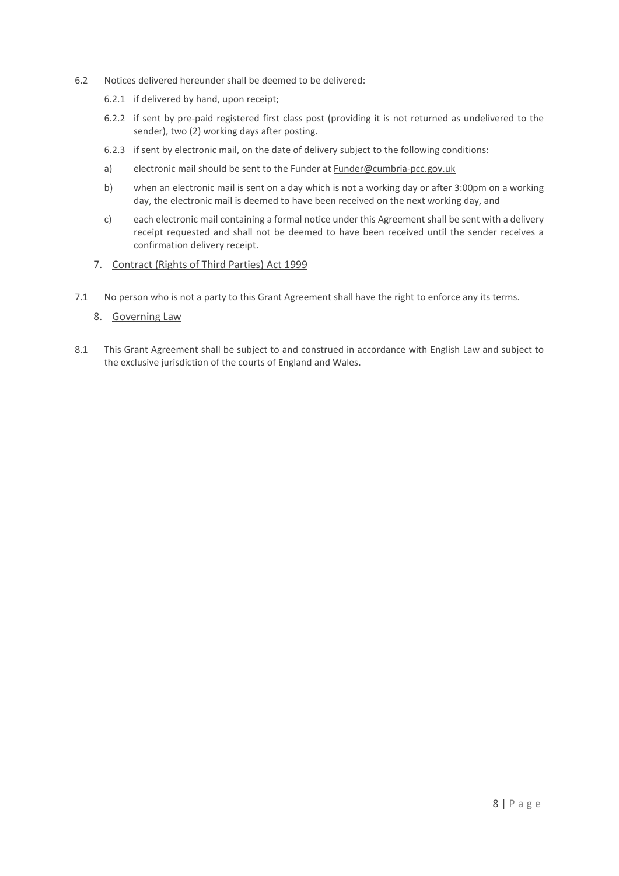- 6.2 Notices delivered hereunder shall be deemed to be delivered:
	- 6.2.1 if delivered by hand, upon receipt;
	- 6.2.2 if sent by pre-paid registered first class post (providing it is not returned as undelivered to the sender), two (2) working days after posting.
	- 6.2.3 if sent by electronic mail, on the date of delivery subject to the following conditions:
	- a) electronic mail should be sent to the Funder at [Funder@cumbria-pcc.gov.uk](mailto:commissioner@cumbria-pcc.gov.uk)
	- b) when an electronic mail is sent on a day which is not a working day or after 3:00pm on a working day, the electronic mail is deemed to have been received on the next working day, and
	- c) each electronic mail containing a formal notice under this Agreement shall be sent with a delivery receipt requested and shall not be deemed to have been received until the sender receives a confirmation delivery receipt.
	- 7. Contract (Rights of Third Parties) Act 1999
- 7.1 No person who is not a party to this Grant Agreement shall have the right to enforce any its terms.

### 8. Governing Law

8.1 This Grant Agreement shall be subject to and construed in accordance with English Law and subject to the exclusive jurisdiction of the courts of England and Wales.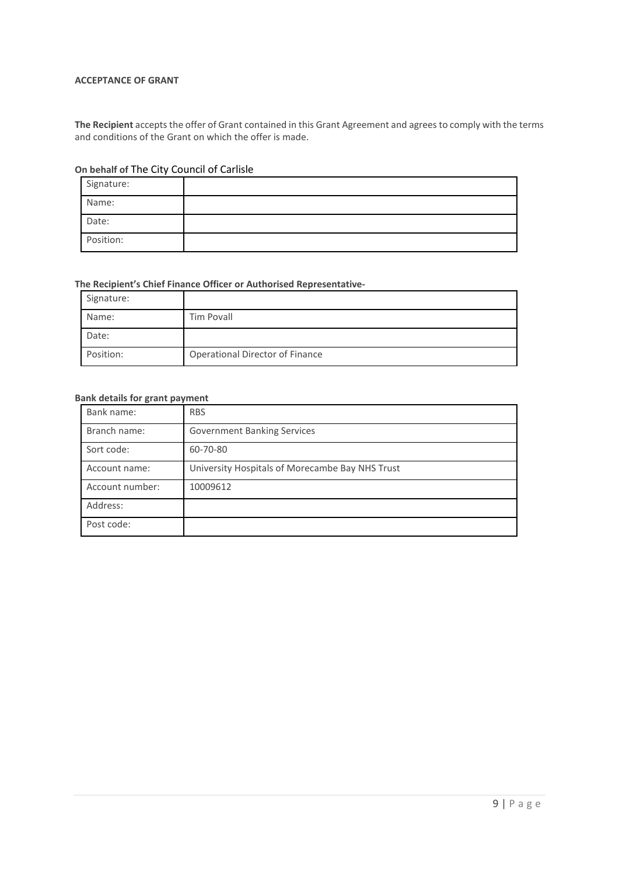### **ACCEPTANCE OF GRANT**

**The Recipient** accepts the offer of Grant contained in this Grant Agreement and agrees to comply with the terms and conditions of the Grant on which the offer is made.

### **On behalf of** The City Council of Carlisle

| Signature: |  |
|------------|--|
| Name:      |  |
| Date:      |  |
| Position:  |  |

### **The Recipient's Chief Finance Officer or Authorised Representative-**

| Signature: |                                 |
|------------|---------------------------------|
| Name:      | Tim Povall                      |
| Date:      |                                 |
| Position:  | Operational Director of Finance |

### **Bank details for grant payment**

| Bank name:      | <b>RBS</b>                                      |
|-----------------|-------------------------------------------------|
| Branch name:    | <b>Government Banking Services</b>              |
| Sort code:      | 60-70-80                                        |
| Account name:   | University Hospitals of Morecambe Bay NHS Trust |
| Account number: | 10009612                                        |
| Address:        |                                                 |
| Post code:      |                                                 |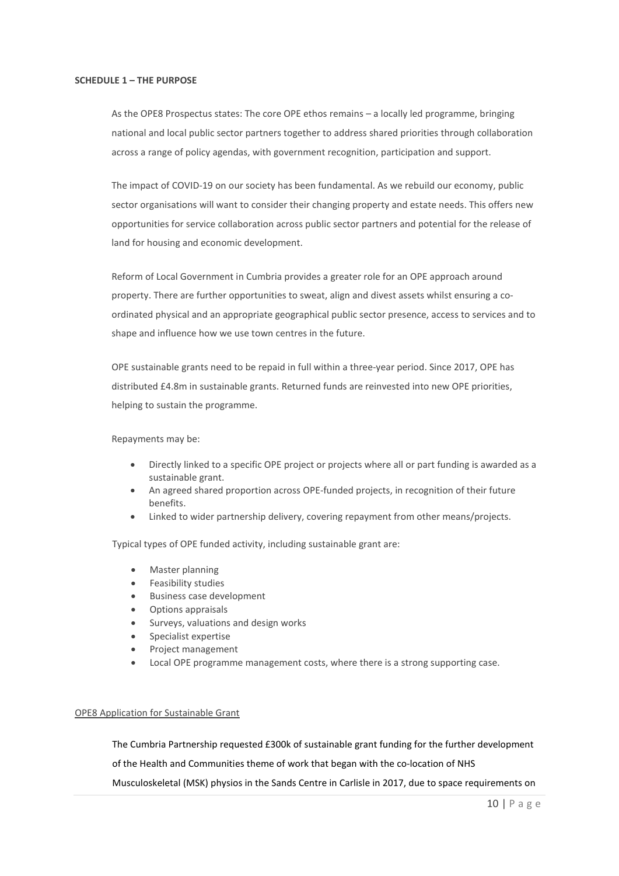### **SCHEDULE 1 – THE PURPOSE**

As the OPE8 Prospectus states: The core OPE ethos remains – a locally led programme, bringing national and local public sector partners together to address shared priorities through collaboration across a range of policy agendas, with government recognition, participation and support.

The impact of COVID-19 on our society has been fundamental. As we rebuild our economy, public sector organisations will want to consider their changing property and estate needs. This offers new opportunities for service collaboration across public sector partners and potential for the release of land for housing and economic development.

Reform of Local Government in Cumbria provides a greater role for an OPE approach around property. There are further opportunities to sweat, align and divest assets whilst ensuring a coordinated physical and an appropriate geographical public sector presence, access to services and to shape and influence how we use town centres in the future.

OPE sustainable grants need to be repaid in full within a three-year period. Since 2017, OPE has distributed £4.8m in sustainable grants. Returned funds are reinvested into new OPE priorities, helping to sustain the programme.

Repayments may be:

- Directly linked to a specific OPE project or projects where all or part funding is awarded as a sustainable grant.
- An agreed shared proportion across OPE-funded projects, in recognition of their future benefits.
- Linked to wider partnership delivery, covering repayment from other means/projects.

Typical types of OPE funded activity, including sustainable grant are:

- Master planning
- Feasibility studies
- Business case development
- Options appraisals
- Surveys, valuations and design works
- Specialist expertise
- Project management
- Local OPE programme management costs, where there is a strong supporting case.

#### OPE8 Application for Sustainable Grant

The Cumbria Partnership requested £300k of sustainable grant funding for the further development of the Health and Communities theme of work that began with the co-location of NHS Musculoskeletal (MSK) physios in the Sands Centre in Carlisle in 2017, due to space requirements on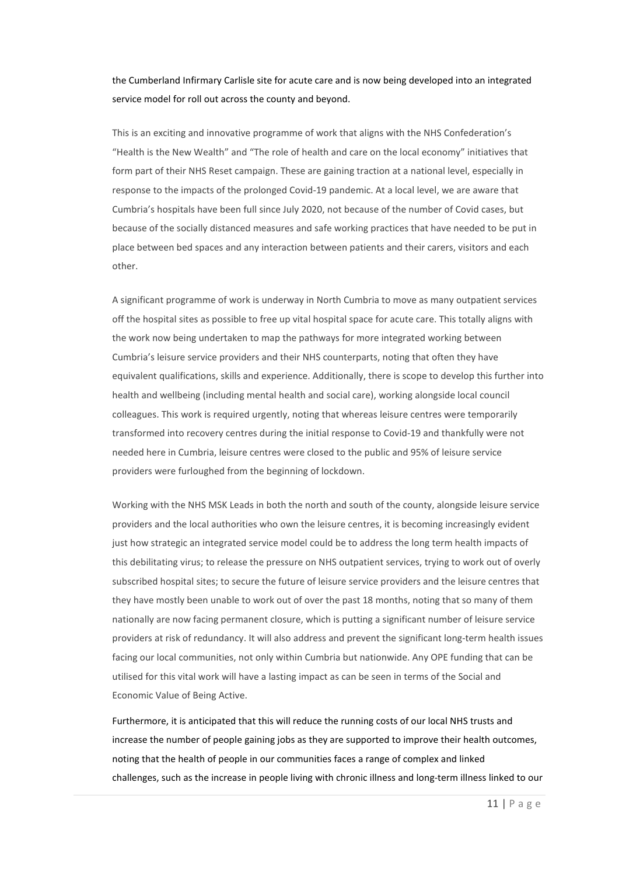the Cumberland Infirmary Carlisle site for acute care and is now being developed into an integrated service model for roll out across the county and beyond.

This is an exciting and innovative programme of work that aligns with the NHS Confederation's "Health is the New Wealth" and "The role of health and care on the local economy" initiatives that form part of their NHS Reset campaign. These are gaining traction at a national level, especially in response to the impacts of the prolonged Covid-19 pandemic. At a local level, we are aware that Cumbria's hospitals have been full since July 2020, not because of the number of Covid cases, but because of the socially distanced measures and safe working practices that have needed to be put in place between bed spaces and any interaction between patients and their carers, visitors and each other.

A significant programme of work is underway in North Cumbria to move as many outpatient services off the hospital sites as possible to free up vital hospital space for acute care. This totally aligns with the work now being undertaken to map the pathways for more integrated working between Cumbria's leisure service providers and their NHS counterparts, noting that often they have equivalent qualifications, skills and experience. Additionally, there is scope to develop this further into health and wellbeing (including mental health and social care), working alongside local council colleagues. This work is required urgently, noting that whereas leisure centres were temporarily transformed into recovery centres during the initial response to Covid-19 and thankfully were not needed here in Cumbria, leisure centres were closed to the public and 95% of leisure service providers were furloughed from the beginning of lockdown.

Working with the NHS MSK Leads in both the north and south of the county, alongside leisure service providers and the local authorities who own the leisure centres, it is becoming increasingly evident just how strategic an integrated service model could be to address the long term health impacts of this debilitating virus; to release the pressure on NHS outpatient services, trying to work out of overly subscribed hospital sites; to secure the future of leisure service providers and the leisure centres that they have mostly been unable to work out of over the past 18 months, noting that so many of them nationally are now facing permanent closure, which is putting a significant number of leisure service providers at risk of redundancy. It will also address and prevent the significant long-term health issues facing our local communities, not only within Cumbria but nationwide. Any OPE funding that can be utilised for this vital work will have a lasting impact as can be seen in terms of the Social and Economic Value of Being Active.

Furthermore, it is anticipated that this will reduce the running costs of our local NHS trusts and increase the number of people gaining jobs as they are supported to improve their health outcomes, noting that the health of people in our communities faces a range of complex and linked challenges, such as the increase in people living with chronic illness and long-term illness linked to our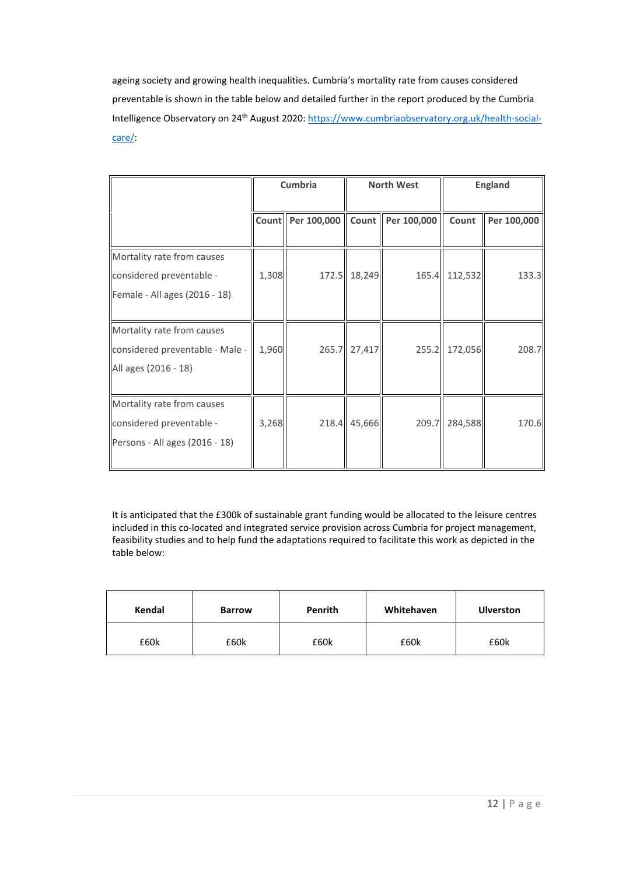ageing society and growing health inequalities. Cumbria's mortality rate from causes considered preventable is shown in the table below and detailed further in the report produced by the Cumbria Intelligence Observatory on 24<sup>th</sup> August 2020[: https://www.cumbriaobservatory.org.uk/health-social](https://www.cumbriaobservatory.org.uk/health-social-care/)[care/:](https://www.cumbriaobservatory.org.uk/health-social-care/)

|                                                                                          | Cumbria |                   | <b>North West</b> |                     | <b>England</b> |             |
|------------------------------------------------------------------------------------------|---------|-------------------|-------------------|---------------------|----------------|-------------|
|                                                                                          |         | Count Per 100,000 |                   | Count   Per 100,000 | Count          | Per 100,000 |
| Mortality rate from causes<br>considered preventable -<br>Female - All ages (2016 - 18)  | 1,308   |                   | 172.5 18,249      |                     | 165.4 112,532  | 133.3       |
| Mortality rate from causes<br>considered preventable - Male -<br>All ages (2016 - 18)    | 1,960   |                   | 265.7 27,417      |                     | 255.2 172,056  | 208.7       |
| Mortality rate from causes<br>considered preventable -<br>Persons - All ages (2016 - 18) | 3,268   |                   | 218.4 45,666      |                     | 209.7 284,588  | 170.6       |

It is anticipated that the £300k of sustainable grant funding would be allocated to the leisure centres included in this co-located and integrated service provision across Cumbria for project management, feasibility studies and to help fund the adaptations required to facilitate this work as depicted in the table below:

| Kendal | <b>Barrow</b> | <b>Penrith</b> | Whitehaven | <b>Ulverston</b> |
|--------|---------------|----------------|------------|------------------|
| £60k   | £60k          | £60k           | £60k       | £60k             |